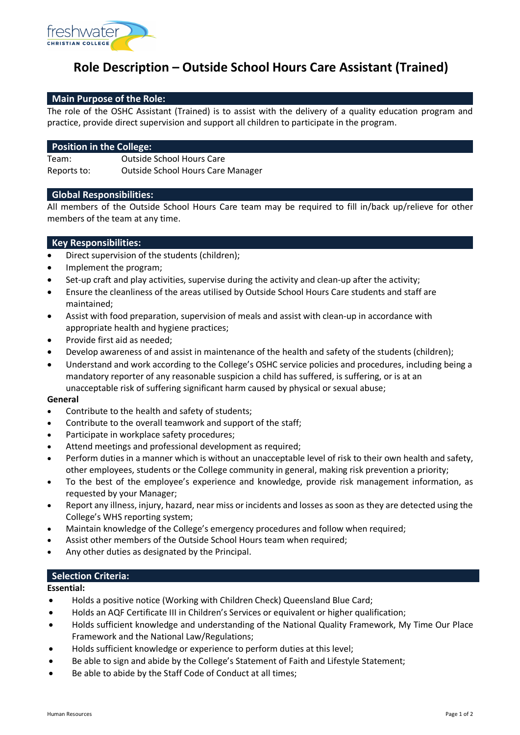

# **Role Description – Outside School Hours Care Assistant (Trained)**

# **Main Purpose of the Role:**

The role of the OSHC Assistant (Trained) is to assist with the delivery of a quality education program and practice, provide direct supervision and support all children to participate in the program.

## **Position in the College:**

Team: Outside School Hours Care Reports to: Outside School Hours Care Manager

### **Global Responsibilities:**

All members of the Outside School Hours Care team may be required to fill in/back up/relieve for other members of the team at any time.

# **Key Responsibilities:**

- Direct supervision of the students (children);
- Implement the program;
- Set-up craft and play activities, supervise during the activity and clean-up after the activity;
- Ensure the cleanliness of the areas utilised by Outside School Hours Care students and staff are maintained;
- Assist with food preparation, supervision of meals and assist with clean-up in accordance with appropriate health and hygiene practices;
- Provide first aid as needed;
- Develop awareness of and assist in maintenance of the health and safety of the students (children);
- Understand and work according to the College's OSHC service policies and procedures, including being a mandatory reporter of any reasonable suspicion a child has suffered, is suffering, or is at an unacceptable risk of suffering significant harm caused by physical or sexual abuse;

#### **General**

- Contribute to the health and safety of students:
- Contribute to the overall teamwork and support of the staff;
- Participate in workplace safety procedures;
- Attend meetings and professional development as required;
- Perform duties in a manner which is without an unacceptable level of risk to their own health and safety, other employees, students or the College community in general, making risk prevention a priority;
- To the best of the employee's experience and knowledge, provide risk management information, as requested by your Manager;
- Report any illness, injury, hazard, near miss or incidents and losses as soon as they are detected using the College's WHS reporting system;
- Maintain knowledge of the College's emergency procedures and follow when required;
- Assist other members of the Outside School Hours team when required;
- Any other duties as designated by the Principal.

# **Selection Criteria:**

#### **Essential:**

- Holds a positive notice (Working with Children Check) Queensland Blue Card;
- Holds an AQF Certificate III in Children's Services or equivalent or higher qualification;
- Holds sufficient knowledge and understanding of the National Quality Framework, My Time Our Place Framework and the National Law/Regulations;
- Holds sufficient knowledge or experience to perform duties at this level;
- Be able to sign and abide by the College's Statement of Faith and Lifestyle Statement;
- Be able to abide by the Staff Code of Conduct at all times;